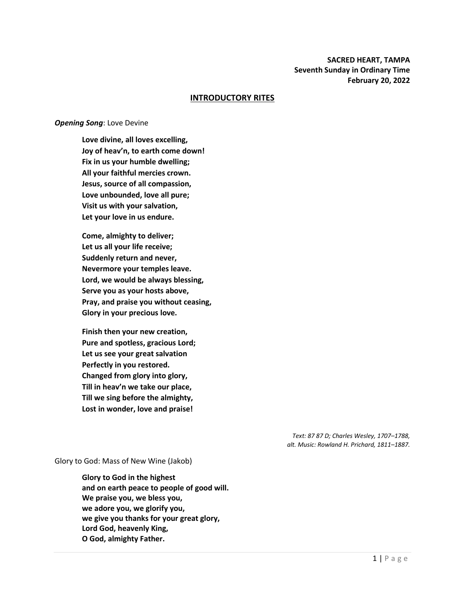## **SACRED HEART, TAMPA Seventh Sunday in Ordinary Time February 20, 2022**

### **INTRODUCTORY RITES**

#### *Opening Song*: Love Devine

**Love divine, all loves excelling, Joy of heav'n, to earth come down! Fix in us your humble dwelling; All your faithful mercies crown. Jesus, source of all compassion, Love unbounded, love all pure; Visit us with your salvation, Let your love in us endure.**

**Come, almighty to deliver; Let us all your life receive; Suddenly return and never, Nevermore your temples leave. Lord, we would be always blessing, Serve you as your hosts above, Pray, and praise you without ceasing, Glory in your precious love.**

**Finish then your new creation, Pure and spotless, gracious Lord; Let us see your great salvation Perfectly in you restored. Changed from glory into glory, Till in heav'n we take our place, Till we sing before the almighty, Lost in wonder, love and praise!**

> *Text: 87 87 D; Charles Wesley, 1707–1788, alt. Music: Rowland H. Prichard, 1811–1887.*

Glory to God: Mass of New Wine (Jakob)

**Glory to God in the highest and on earth peace to people of good will. We praise you, we bless you, we adore you, we glorify you, we give you thanks for your great glory, Lord God, heavenly King, O God, almighty Father.**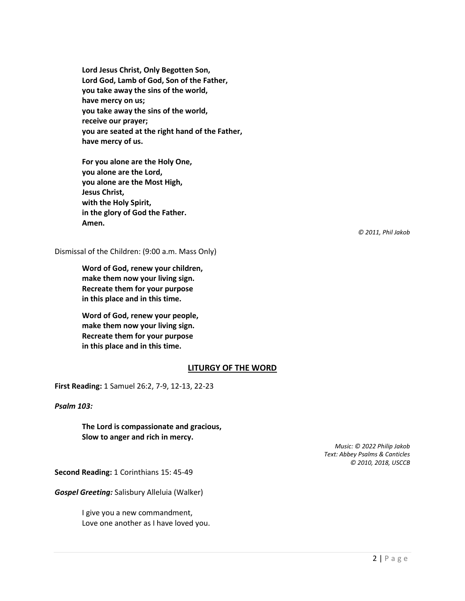**Lord Jesus Christ, Only Begotten Son, Lord God, Lamb of God, Son of the Father, you take away the sins of the world, have mercy on us; you take away the sins of the world, receive our prayer; you are seated at the right hand of the Father, have mercy of us.**

**For you alone are the Holy One, you alone are the Lord, you alone are the Most High, Jesus Christ, with the Holy Spirit, in the glory of God the Father. Amen.**

*© 2011, Phil Jakob*

Dismissal of the Children: (9:00 a.m. Mass Only)

**Word of God, renew your children, make them now your living sign. Recreate them for your purpose in this place and in this time.**

**Word of God, renew your people, make them now your living sign. Recreate them for your purpose in this place and in this time.**

#### **LITURGY OF THE WORD**

**First Reading:** 1 Samuel 26:2, 7-9, 12-13, 22-23

*Psalm 103:*

**The Lord is compassionate and gracious, Slow to anger and rich in mercy.**

> *Music: © 2022 Philip Jakob Text: Abbey Psalms & Canticles © 2010, 2018, USCCB*

**Second Reading:** 1 Corinthians 15: 45-49

*Gospel Greeting:* Salisbury Alleluia (Walker)

I give you a new commandment, Love one another as I have loved you.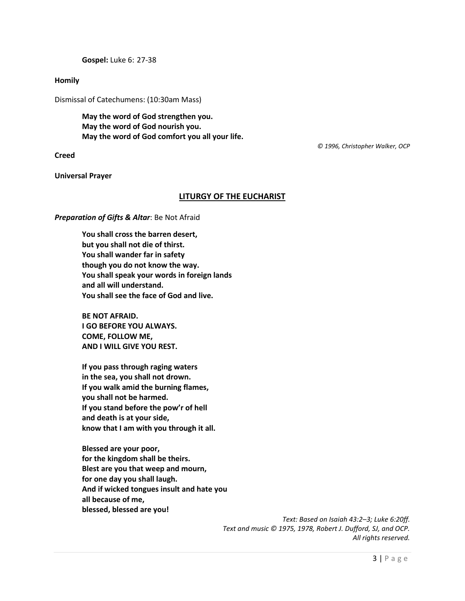**Gospel:** Luke 6: 27-38

### **Homily**

Dismissal of Catechumens: (10:30am Mass)

**May the word of God strengthen you. May the word of God nourish you. May the word of God comfort you all your life.**

### **Creed**

**Universal Prayer**

### **LITURGY OF THE EUCHARIST**

### *Preparation of Gifts & Altar*: Be Not Afraid

**You shall cross the barren desert, but you shall not die of thirst. You shall wander far in safety though you do not know the way. You shall speak your words in foreign lands and all will understand. You shall see the face of God and live.** 

**BE NOT AFRAID. I GO BEFORE YOU ALWAYS. COME, FOLLOW ME, AND I WILL GIVE YOU REST.** 

**If you pass through raging waters in the sea, you shall not drown. If you walk amid the burning flames, you shall not be harmed. If you stand before the pow'r of hell and death is at your side, know that I am with you through it all.** 

**Blessed are your poor, for the kingdom shall be theirs. Blest are you that weep and mourn, for one day you shall laugh. And if wicked tongues insult and hate you all because of me, blessed, blessed are you!**

> *Text: Based on Isaiah 43:2–3; Luke 6:20ff. Text and music © 1975, 1978, Robert J. Dufford, SJ, and OCP. All rights reserved.*

 *© 1996, Christopher Walker, OCP*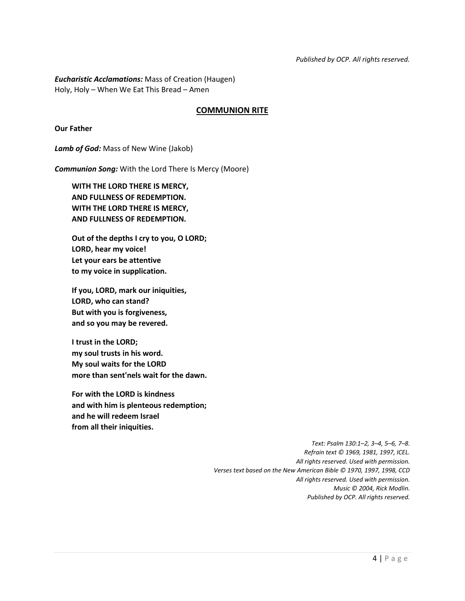*Eucharistic Acclamations:* Mass of Creation (Haugen) Holy, Holy – When We Eat This Bread – Amen

## **COMMUNION RITE**

**Our Father**

*Lamb of God:* Mass of New Wine (Jakob)

*Communion Song:* With the Lord There Is Mercy (Moore)

**WITH THE LORD THERE IS MERCY, AND FULLNESS OF REDEMPTION. WITH THE LORD THERE IS MERCY, AND FULLNESS OF REDEMPTION.**

**Out of the depths I cry to you, O LORD; LORD, hear my voice! Let your ears be attentive to my voice in supplication.**

**If you, LORD, mark our iniquities, LORD, who can stand? But with you is forgiveness, and so you may be revered.**

**I trust in the LORD; my soul trusts in his word. My soul waits for the LORD more than sent'nels wait for the dawn.**

**For with the LORD is kindness and with him is plenteous redemption; and he will redeem Israel from all their iniquities.**

> *Text: Psalm 130:1–2, 3–4, 5–6, 7–8. Refrain text © 1969, 1981, 1997, ICEL. All rights reserved. Used with permission. Verses text based on the New American Bible © 1970, 1997, 1998, CCD All rights reserved. Used with permission. Music © 2004, Rick Modlin. Published by OCP. All rights reserved.*